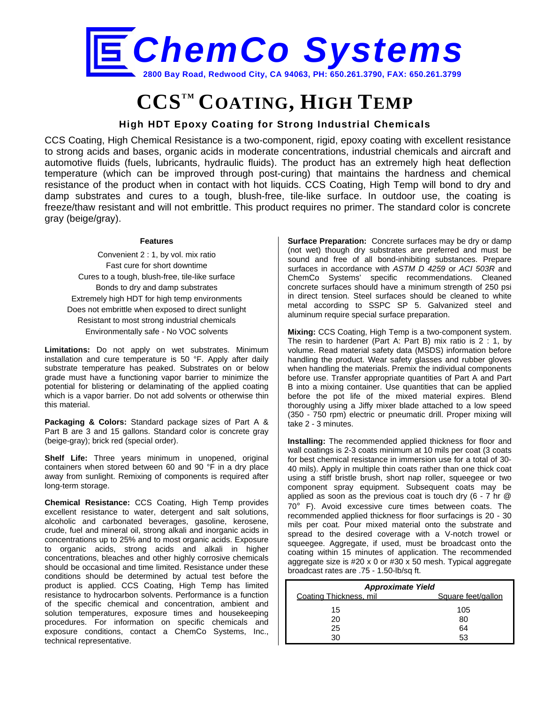

# **CCSTM COATING, HIGH TEMP**

## **High HDT Epoxy Coating for Strong Industrial Chemicals**

CCS Coating, High Chemical Resistance is a two-component, rigid, epoxy coating with excellent resistance to strong acids and bases, organic acids in moderate concentrations, industrial chemicals and aircraft and automotive fluids (fuels, lubricants, hydraulic fluids). The product has an extremely high heat deflection temperature (which can be improved through post-curing) that maintains the hardness and chemical resistance of the product when in contact with hot liquids. CCS Coating, High Temp will bond to dry and damp substrates and cures to a tough, blush-free, tile-like surface. In outdoor use, the coating is freeze/thaw resistant and will not embrittle. This product requires no primer. The standard color is concrete gray (beige/gray).

#### **Features**

Convenient 2 : 1, by vol. mix ratio Fast cure for short downtime Cures to a tough, blush-free, tile-like surface Bonds to dry and damp substrates Extremely high HDT for high temp environments Does not embrittle when exposed to direct sunlight Resistant to most strong industrial chemicals Environmentally safe - No VOC solvents

**Limitations:** Do not apply on wet substrates. Minimum installation and cure temperature is 50 °F. Apply after daily substrate temperature has peaked. Substrates on or below grade must have a functioning vapor barrier to minimize the potential for blistering or delaminating of the applied coating which is a vapor barrier. Do not add solvents or otherwise thin this material.

**Packaging & Colors:** Standard package sizes of Part A & Part B are 3 and 15 gallons. Standard color is concrete gray (beige-gray); brick red (special order).

**Shelf Life:** Three years minimum in unopened, original containers when stored between 60 and 90 °F in a dry place away from sunlight. Remixing of components is required after long-term storage.

**Chemical Resistance:** CCS Coating, High Temp provides excellent resistance to water, detergent and salt solutions, alcoholic and carbonated beverages, gasoline, kerosene, crude, fuel and mineral oil, strong alkali and inorganic acids in concentrations up to 25% and to most organic acids. Exposure to organic acids, strong acids and alkali in higher concentrations, bleaches and other highly corrosive chemicals should be occasional and time limited. Resistance under these conditions should be determined by actual test before the product is applied. CCS Coating, High Temp has limited resistance to hydrocarbon solvents. Performance is a function of the specific chemical and concentration, ambient and solution temperatures, exposure times and housekeeping procedures. For information on specific chemicals and exposure conditions, contact a ChemCo Systems, Inc., technical representative.

**Surface Preparation:** Concrete surfaces may be dry or damp (not wet) though dry substrates are preferred and must be sound and free of all bond-inhibiting substances. Prepare surfaces in accordance with *ASTM D 4259* or *ACI 503R* and ChemCo Systems' specific recommendations. Cleaned concrete surfaces should have a minimum strength of 250 psi in direct tension. Steel surfaces should be cleaned to white metal according to SSPC SP 5. Galvanized steel and aluminum require special surface preparation.

**Mixing:** CCS Coating, High Temp is a two-component system. The resin to hardener (Part A: Part B) mix ratio is 2 : 1, by volume. Read material safety data (MSDS) information before handling the product. Wear safety glasses and rubber gloves when handling the materials. Premix the individual components before use. Transfer appropriate quantities of Part A and Part B into a mixing container. Use quantities that can be applied before the pot life of the mixed material expires. Blend thoroughly using a Jiffy mixer blade attached to a low speed (350 - 750 rpm) electric or pneumatic drill. Proper mixing will take 2 - 3 minutes.

**Installing:** The recommended applied thickness for floor and wall coatings is 2-3 coats minimum at 10 mils per coat (3 coats for best chemical resistance in immersion use for a total of 30- 40 mils). Apply in multiple thin coats rather than one thick coat using a stiff bristle brush, short nap roller, squeegee or two component spray equipment. Subsequent coats may be applied as soon as the previous coat is touch dry (6 - 7 hr @ 70° F). Avoid excessive cure times between coats. The recommended applied thickness for floor surfacings is 20 - 30 mils per coat. Pour mixed material onto the substrate and spread to the desired coverage with a V-notch trowel or squeegee. Aggregate, if used, must be broadcast onto the coating within 15 minutes of application. The recommended aggregate size is #20 x 0 or #30 x 50 mesh. Typical aggregate broadcast rates are .75 - 1.50-lb/sq ft.

| <b>Approximate Yield</b> |                    |  |  |
|--------------------------|--------------------|--|--|
| Coating Thickness, mil.  | Square feet/gallon |  |  |
| 15                       | 105                |  |  |
| 20                       | 80                 |  |  |
| 25                       | 64                 |  |  |
| חצ                       | 53                 |  |  |